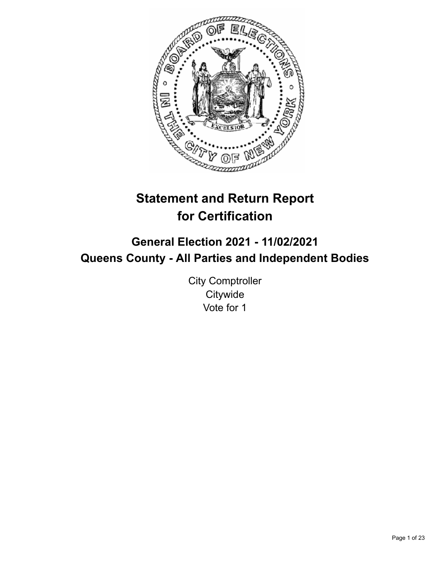

# **Statement and Return Report for Certification**

## **General Election 2021 - 11/02/2021 Queens County - All Parties and Independent Bodies**

City Comptroller **Citywide** Vote for 1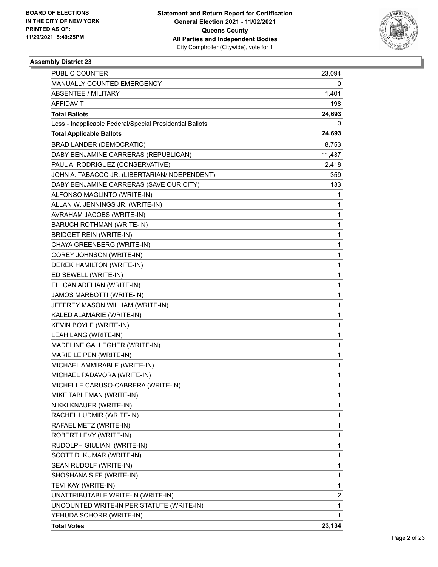

| <b>PUBLIC COUNTER</b>                                    | 23,094 |
|----------------------------------------------------------|--------|
| MANUALLY COUNTED EMERGENCY                               | 0      |
| ABSENTEE / MILITARY                                      | 1,401  |
| AFFIDAVIT                                                | 198    |
| <b>Total Ballots</b>                                     | 24,693 |
| Less - Inapplicable Federal/Special Presidential Ballots | 0      |
| <b>Total Applicable Ballots</b>                          | 24,693 |
| <b>BRAD LANDER (DEMOCRATIC)</b>                          | 8,753  |
| DABY BENJAMINE CARRERAS (REPUBLICAN)                     | 11,437 |
| PAUL A. RODRIGUEZ (CONSERVATIVE)                         | 2,418  |
| JOHN A. TABACCO JR. (LIBERTARIAN/INDEPENDENT)            | 359    |
| DABY BENJAMINE CARRERAS (SAVE OUR CITY)                  | 133.   |
| ALFONSO MAGLINTO (WRITE-IN)                              | 1      |
| ALLAN W. JENNINGS JR. (WRITE-IN)                         | 1      |
| AVRAHAM JACOBS (WRITE-IN)                                | 1      |
| BARUCH ROTHMAN (WRITE-IN)                                | 1      |
| <b>BRIDGET REIN (WRITE-IN)</b>                           | 1      |
| CHAYA GREENBERG (WRITE-IN)                               | 1      |
| COREY JOHNSON (WRITE-IN)                                 | 1      |
| DEREK HAMILTON (WRITE-IN)                                | 1      |
| ED SEWELL (WRITE-IN)                                     | 1      |
| ELLCAN ADELIAN (WRITE-IN)                                | 1      |
| JAMOS MARBOTTI (WRITE-IN)                                | 1      |
| JEFFREY MASON WILLIAM (WRITE-IN)                         | 1      |
| KALED ALAMARIE (WRITE-IN)                                | 1      |
| KEVIN BOYLE (WRITE-IN)                                   | 1      |
| LEAH LANG (WRITE-IN)                                     | 1      |
| MADELINE GALLEGHER (WRITE-IN)                            | 1      |
| MARIE LE PEN (WRITE-IN)                                  | 1      |
| MICHAEL AMMIRABLE (WRITE-IN)                             | 1      |
| MICHAEL PADAVORA (WRITE-IN)                              | 1      |
| MICHELLE CARUSO-CABRERA (WRITE-IN)                       | 1      |
| MIKE TABLEMAN (WRITE-IN)                                 | 1      |
| NIKKI KNAUER (WRITE-IN)                                  | 1      |
| RACHEL LUDMIR (WRITE-IN)                                 | 1      |
| RAFAEL METZ (WRITE-IN)                                   | 1      |
| ROBERT LEVY (WRITE-IN)                                   | 1      |
| RUDOLPH GIULIANI (WRITE-IN)                              | 1      |
| SCOTT D. KUMAR (WRITE-IN)                                | 1      |
| SEAN RUDOLF (WRITE-IN)                                   | 1      |
| SHOSHANA SIFF (WRITE-IN)                                 | 1      |
| TEVI KAY (WRITE-IN)                                      | 1      |
| UNATTRIBUTABLE WRITE-IN (WRITE-IN)                       | 2      |
| UNCOUNTED WRITE-IN PER STATUTE (WRITE-IN)                | 1      |
| YEHUDA SCHORR (WRITE-IN)                                 | 1      |
| <b>Total Votes</b>                                       | 23,134 |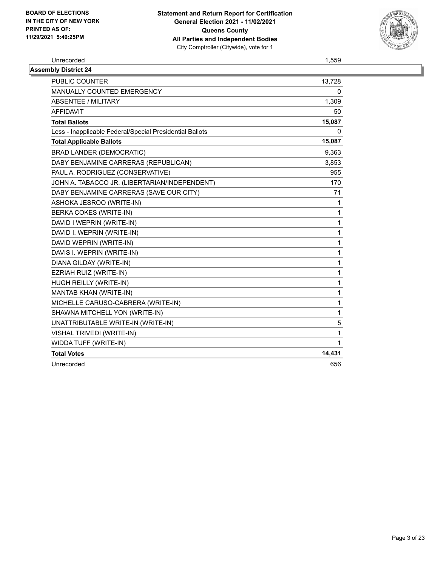

Unrecorded 1,559

| <b>Assembly District 24</b>                              |        |
|----------------------------------------------------------|--------|
| <b>PUBLIC COUNTER</b>                                    | 13,728 |
| MANUALLY COUNTED EMERGENCY                               | 0      |
| <b>ABSENTEE / MILITARY</b>                               | 1,309  |
| <b>AFFIDAVIT</b>                                         | 50     |
| <b>Total Ballots</b>                                     | 15,087 |
| Less - Inapplicable Federal/Special Presidential Ballots | 0      |
| <b>Total Applicable Ballots</b>                          | 15,087 |
| <b>BRAD LANDER (DEMOCRATIC)</b>                          | 9,363  |
| DABY BENJAMINE CARRERAS (REPUBLICAN)                     | 3,853  |
| PAUL A. RODRIGUEZ (CONSERVATIVE)                         | 955    |
| JOHN A. TABACCO JR. (LIBERTARIAN/INDEPENDENT)            | 170    |
| DABY BENJAMINE CARRERAS (SAVE OUR CITY)                  | 71     |
| ASHOKA JESROO (WRITE-IN)                                 | 1      |
| BERKA COKES (WRITE-IN)                                   | 1      |
| DAVID I WEPRIN (WRITE-IN)                                | 1      |
| DAVID I. WEPRIN (WRITE-IN)                               | 1      |
| DAVID WEPRIN (WRITE-IN)                                  | 1      |
| DAVIS I. WEPRIN (WRITE-IN)                               | 1      |
| DIANA GILDAY (WRITE-IN)                                  | 1      |
| EZRIAH RUIZ (WRITE-IN)                                   | 1      |
| HUGH REILLY (WRITE-IN)                                   | 1      |
| MANTAB KHAN (WRITE-IN)                                   | 1      |
| MICHELLE CARUSO-CABRERA (WRITE-IN)                       | 1      |
| SHAWNA MITCHELL YON (WRITE-IN)                           | 1      |
| UNATTRIBUTABLE WRITE-IN (WRITE-IN)                       | 5      |
| VISHAL TRIVEDI (WRITE-IN)                                | 1      |
| WIDDA TUFF (WRITE-IN)                                    | 1      |
| <b>Total Votes</b>                                       | 14,431 |
| Unrecorded                                               | 656    |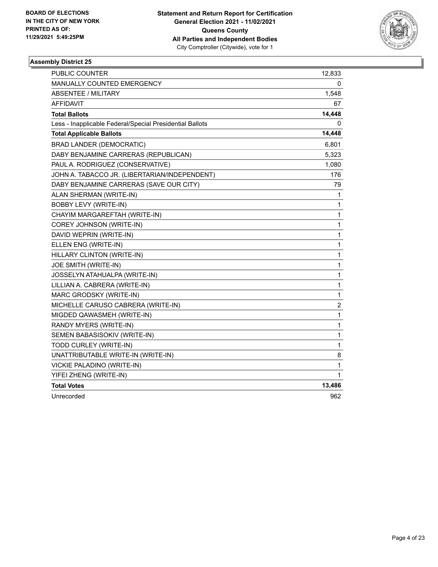

| PUBLIC COUNTER                                           | 12,833                  |
|----------------------------------------------------------|-------------------------|
| MANUALLY COUNTED EMERGENCY                               | 0                       |
| <b>ABSENTEE / MILITARY</b>                               | 1,548                   |
| <b>AFFIDAVIT</b>                                         | 67                      |
| <b>Total Ballots</b>                                     | 14,448                  |
| Less - Inapplicable Federal/Special Presidential Ballots | 0                       |
| <b>Total Applicable Ballots</b>                          | 14,448                  |
| <b>BRAD LANDER (DEMOCRATIC)</b>                          | 6,801                   |
| DABY BENJAMINE CARRERAS (REPUBLICAN)                     | 5,323                   |
| PAUL A. RODRIGUEZ (CONSERVATIVE)                         | 1,080                   |
| JOHN A. TABACCO JR. (LIBERTARIAN/INDEPENDENT)            | 176                     |
| DABY BENJAMINE CARRERAS (SAVE OUR CITY)                  | 79                      |
| ALAN SHERMAN (WRITE-IN)                                  | 1                       |
| <b>BOBBY LEVY (WRITE-IN)</b>                             | 1                       |
| CHAYIM MARGAREFTAH (WRITE-IN)                            | 1                       |
| COREY JOHNSON (WRITE-IN)                                 | 1                       |
| DAVID WEPRIN (WRITE-IN)                                  | 1                       |
| ELLEN ENG (WRITE-IN)                                     | 1                       |
| HILLARY CLINTON (WRITE-IN)                               | 1                       |
| JOE SMITH (WRITE-IN)                                     | 1                       |
| JOSSELYN ATAHUALPA (WRITE-IN)                            | 1                       |
| LILLIAN A. CABRERA (WRITE-IN)                            | 1                       |
| MARC GRODSKY (WRITE-IN)                                  | $\mathbf{1}$            |
| MICHELLE CARUSO CABRERA (WRITE-IN)                       | $\overline{\mathbf{c}}$ |
| MIGDED QAWASMEH (WRITE-IN)                               | 1                       |
| RANDY MYERS (WRITE-IN)                                   | 1                       |
| SEMEN BABASISOKIV (WRITE-IN)                             | 1                       |
| TODD CURLEY (WRITE-IN)                                   | 1                       |
| UNATTRIBUTABLE WRITE-IN (WRITE-IN)                       | 8                       |
| VICKIE PALADINO (WRITE-IN)                               | 1                       |
| YIFEI ZHENG (WRITE-IN)                                   | 1                       |
| <b>Total Votes</b>                                       | 13,486                  |
| Unrecorded                                               | 962                     |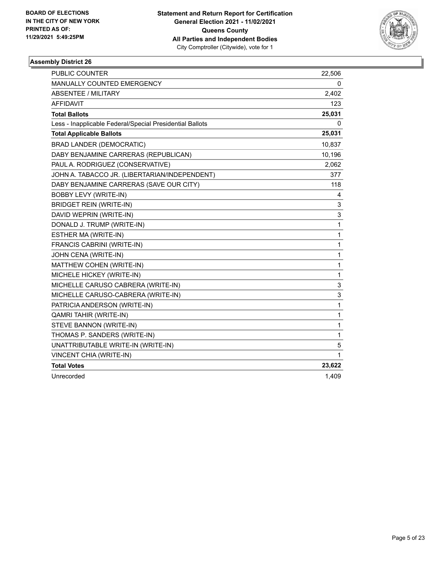

| <b>PUBLIC COUNTER</b>                                    | 22,506       |
|----------------------------------------------------------|--------------|
| MANUALLY COUNTED EMERGENCY                               | 0            |
| <b>ABSENTEE / MILITARY</b>                               | 2,402        |
| <b>AFFIDAVIT</b>                                         | 123          |
| <b>Total Ballots</b>                                     | 25,031       |
| Less - Inapplicable Federal/Special Presidential Ballots | 0            |
| <b>Total Applicable Ballots</b>                          | 25,031       |
| <b>BRAD LANDER (DEMOCRATIC)</b>                          | 10,837       |
| DABY BENJAMINE CARRERAS (REPUBLICAN)                     | 10,196       |
| PAUL A. RODRIGUEZ (CONSERVATIVE)                         | 2,062        |
| JOHN A. TABACCO JR. (LIBERTARIAN/INDEPENDENT)            | 377          |
| DABY BENJAMINE CARRERAS (SAVE OUR CITY)                  | 118          |
| <b>BOBBY LEVY (WRITE-IN)</b>                             | 4            |
| <b>BRIDGET REIN (WRITE-IN)</b>                           | 3            |
| DAVID WEPRIN (WRITE-IN)                                  | 3            |
| DONALD J. TRUMP (WRITE-IN)                               | 1            |
| ESTHER MA (WRITE-IN)                                     | $\mathbf{1}$ |
| FRANCIS CABRINI (WRITE-IN)                               | 1            |
| JOHN CENA (WRITE-IN)                                     | 1            |
| MATTHEW COHEN (WRITE-IN)                                 | 1            |
| MICHELE HICKEY (WRITE-IN)                                | 1            |
| MICHELLE CARUSO CABRERA (WRITE-IN)                       | 3            |
| MICHELLE CARUSO-CABRERA (WRITE-IN)                       | 3            |
| PATRICIA ANDERSON (WRITE-IN)                             | 1            |
| <b>QAMRI TAHIR (WRITE-IN)</b>                            | 1            |
| STEVE BANNON (WRITE-IN)                                  | 1            |
| THOMAS P. SANDERS (WRITE-IN)                             | 1            |
| UNATTRIBUTABLE WRITE-IN (WRITE-IN)                       | 5            |
| VINCENT CHIA (WRITE-IN)                                  | 1            |
| <b>Total Votes</b>                                       | 23,622       |
| Unrecorded                                               | 1,409        |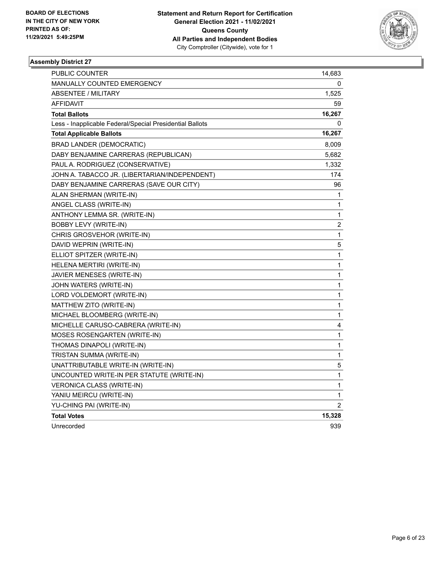

| PUBLIC COUNTER                                           | 14,683         |
|----------------------------------------------------------|----------------|
| MANUALLY COUNTED EMERGENCY                               | 0              |
| ABSENTEE / MILITARY                                      | 1,525          |
| <b>AFFIDAVIT</b>                                         | 59             |
| <b>Total Ballots</b>                                     | 16,267         |
| Less - Inapplicable Federal/Special Presidential Ballots | $^{(1)}$       |
| <b>Total Applicable Ballots</b>                          | 16,267         |
| <b>BRAD LANDER (DEMOCRATIC)</b>                          | 8,009          |
| DABY BENJAMINE CARRERAS (REPUBLICAN)                     | 5,682          |
| PAUL A. RODRIGUEZ (CONSERVATIVE)                         | 1,332          |
| JOHN A. TABACCO JR. (LIBERTARIAN/INDEPENDENT)            | 174            |
| DABY BENJAMINE CARRERAS (SAVE OUR CITY)                  | 96             |
| ALAN SHERMAN (WRITE-IN)                                  | 1              |
| ANGEL CLASS (WRITE-IN)                                   | 1              |
| ANTHONY LEMMA SR. (WRITE-IN)                             | 1              |
| BOBBY LEVY (WRITE-IN)                                    | $\overline{c}$ |
| CHRIS GROSVEHOR (WRITE-IN)                               | 1              |
| DAVID WEPRIN (WRITE-IN)                                  | 5              |
| ELLIOT SPITZER (WRITE-IN)                                | 1              |
| HELENA MERTIRI (WRITE-IN)                                | 1              |
| JAVIER MENESES (WRITE-IN)                                | 1              |
| JOHN WATERS (WRITE-IN)                                   | 1              |
| LORD VOLDEMORT (WRITE-IN)                                | 1              |
| MATTHEW ZITO (WRITE-IN)                                  | 1              |
| MICHAEL BLOOMBERG (WRITE-IN)                             | 1              |
| MICHELLE CARUSO-CABRERA (WRITE-IN)                       | 4              |
| MOSES ROSENGARTEN (WRITE-IN)                             | 1              |
| THOMAS DINAPOLI (WRITE-IN)                               | 1              |
| TRISTAN SUMMA (WRITE-IN)                                 | 1              |
| UNATTRIBUTABLE WRITE-IN (WRITE-IN)                       | 5              |
| UNCOUNTED WRITE-IN PER STATUTE (WRITE-IN)                | 1              |
| <b>VERONICA CLASS (WRITE-IN)</b>                         | 1              |
| YANIU MEIRCU (WRITE-IN)                                  | 1              |
| YU-CHING PAI (WRITE-IN)                                  | 2              |
| <b>Total Votes</b>                                       | 15,328         |
| Unrecorded                                               | 939            |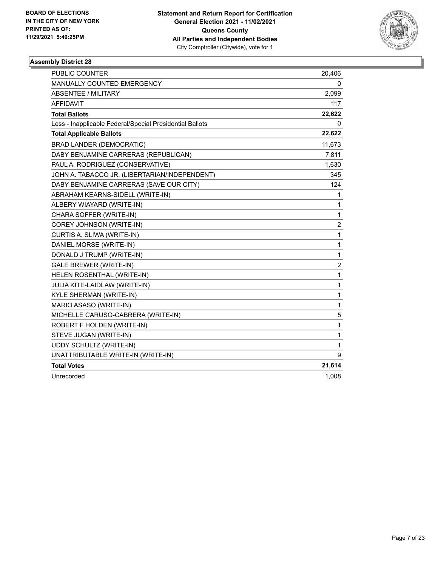

| <b>PUBLIC COUNTER</b>                                    | 20,406         |
|----------------------------------------------------------|----------------|
| MANUALLY COUNTED EMERGENCY                               | 0              |
| <b>ABSENTEE / MILITARY</b>                               | 2,099          |
| <b>AFFIDAVIT</b>                                         | 117            |
| <b>Total Ballots</b>                                     | 22,622         |
| Less - Inapplicable Federal/Special Presidential Ballots | 0              |
| <b>Total Applicable Ballots</b>                          | 22,622         |
| <b>BRAD LANDER (DEMOCRATIC)</b>                          | 11,673         |
| DABY BENJAMINE CARRERAS (REPUBLICAN)                     | 7,811          |
| PAUL A. RODRIGUEZ (CONSERVATIVE)                         | 1,630          |
| JOHN A. TABACCO JR. (LIBERTARIAN/INDEPENDENT)            | 345            |
| DABY BENJAMINE CARRERAS (SAVE OUR CITY)                  | 124            |
| ABRAHAM KEARNS-SIDELL (WRITE-IN)                         | 1              |
| ALBERY WIAYARD (WRITE-IN)                                | 1              |
| CHARA SOFFER (WRITE-IN)                                  | 1              |
| COREY JOHNSON (WRITE-IN)                                 | $\overline{c}$ |
| CURTIS A. SLIWA (WRITE-IN)                               | 1              |
| DANIEL MORSE (WRITE-IN)                                  | 1              |
| DONALD J TRUMP (WRITE-IN)                                | 1              |
| <b>GALE BREWER (WRITE-IN)</b>                            | 2              |
| HELEN ROSENTHAL (WRITE-IN)                               | $\mathbf{1}$   |
| JULIA KITE-LAIDLAW (WRITE-IN)                            | 1              |
| KYLE SHERMAN (WRITE-IN)                                  | 1              |
| MARIO ASASO (WRITE-IN)                                   | 1              |
| MICHELLE CARUSO-CABRERA (WRITE-IN)                       | 5              |
| ROBERT F HOLDEN (WRITE-IN)                               | 1              |
| STEVE JUGAN (WRITE-IN)                                   | 1              |
| UDDY SCHULTZ (WRITE-IN)                                  | 1              |
| UNATTRIBUTABLE WRITE-IN (WRITE-IN)                       | 9              |
| <b>Total Votes</b>                                       | 21,614         |
| Unrecorded                                               | 1,008          |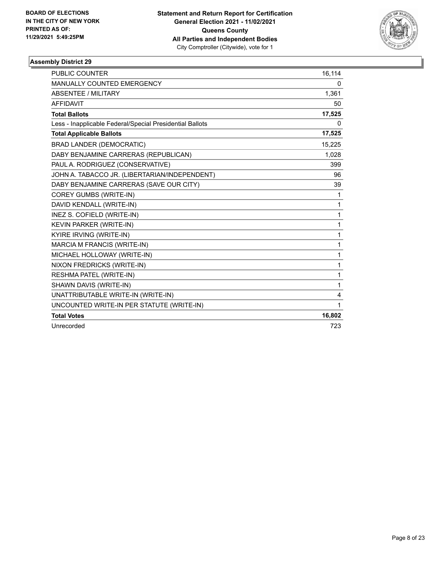

| <b>PUBLIC COUNTER</b>                                    | 16,114 |
|----------------------------------------------------------|--------|
| <b>MANUALLY COUNTED EMERGENCY</b>                        | 0      |
| ABSENTEE / MILITARY                                      | 1,361  |
| <b>AFFIDAVIT</b>                                         | 50     |
| <b>Total Ballots</b>                                     | 17,525 |
| Less - Inapplicable Federal/Special Presidential Ballots | 0      |
| <b>Total Applicable Ballots</b>                          | 17,525 |
| <b>BRAD LANDER (DEMOCRATIC)</b>                          | 15,225 |
| DABY BENJAMINE CARRERAS (REPUBLICAN)                     | 1,028  |
| PAUL A. RODRIGUEZ (CONSERVATIVE)                         | 399    |
| JOHN A. TABACCO JR. (LIBERTARIAN/INDEPENDENT)            | 96     |
| DABY BENJAMINE CARRERAS (SAVE OUR CITY)                  | 39     |
| COREY GUMBS (WRITE-IN)                                   | 1      |
| DAVID KENDALL (WRITE-IN)                                 | 1      |
| INEZ S. COFIELD (WRITE-IN)                               | 1      |
| KEVIN PARKER (WRITE-IN)                                  | 1      |
| KYIRE IRVING (WRITE-IN)                                  | 1      |
| MARCIA M FRANCIS (WRITE-IN)                              | 1      |
| MICHAEL HOLLOWAY (WRITE-IN)                              | 1      |
| NIXON FREDRICKS (WRITE-IN)                               | 1      |
| RESHMA PATEL (WRITE-IN)                                  | 1      |
| SHAWN DAVIS (WRITE-IN)                                   | 1      |
| UNATTRIBUTABLE WRITE-IN (WRITE-IN)                       | 4      |
| UNCOUNTED WRITE-IN PER STATUTE (WRITE-IN)                | 1      |
| <b>Total Votes</b>                                       | 16,802 |
| Unrecorded                                               | 723    |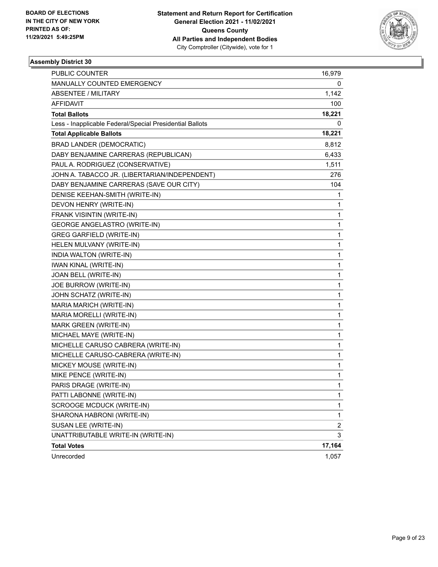

| <b>PUBLIC COUNTER</b>                                    | 16,979                  |
|----------------------------------------------------------|-------------------------|
| MANUALLY COUNTED EMERGENCY                               | 0                       |
| ABSENTEE / MILITARY                                      | 1,142                   |
| AFFIDAVIT                                                | 100                     |
| <b>Total Ballots</b>                                     | 18,221                  |
| Less - Inapplicable Federal/Special Presidential Ballots | 0                       |
| <b>Total Applicable Ballots</b>                          | 18,221                  |
| <b>BRAD LANDER (DEMOCRATIC)</b>                          | 8,812                   |
| DABY BENJAMINE CARRERAS (REPUBLICAN)                     | 6,433                   |
| PAUL A. RODRIGUEZ (CONSERVATIVE)                         | 1,511                   |
| JOHN A. TABACCO JR. (LIBERTARIAN/INDEPENDENT)            | 276                     |
| DABY BENJAMINE CARRERAS (SAVE OUR CITY)                  | 104                     |
| DENISE KEEHAN-SMITH (WRITE-IN)                           | 1                       |
| DEVON HENRY (WRITE-IN)                                   | 1                       |
| FRANK VISINTIN (WRITE-IN)                                | 1                       |
| <b>GEORGE ANGELASTRO (WRITE-IN)</b>                      | 1                       |
| <b>GREG GARFIELD (WRITE-IN)</b>                          | 1                       |
| HELEN MULVANY (WRITE-IN)                                 | 1                       |
| INDIA WALTON (WRITE-IN)                                  | 1                       |
| <b>IWAN KINAL (WRITE-IN)</b>                             | 1                       |
| JOAN BELL (WRITE-IN)                                     | 1                       |
| JOE BURROW (WRITE-IN)                                    | 1                       |
| JOHN SCHATZ (WRITE-IN)                                   | 1                       |
| MARIA MARICH (WRITE-IN)                                  | 1                       |
| MARIA MORELLI (WRITE-IN)                                 | 1                       |
| MARK GREEN (WRITE-IN)                                    | 1                       |
| MICHAEL MAYE (WRITE-IN)                                  | 1                       |
| MICHELLE CARUSO CABRERA (WRITE-IN)                       | 1                       |
| MICHELLE CARUSO-CABRERA (WRITE-IN)                       | 1                       |
| MICKEY MOUSE (WRITE-IN)                                  | 1                       |
| MIKE PENCE (WRITE-IN)                                    | 1                       |
| PARIS DRAGE (WRITE-IN)                                   | 1                       |
| PATTI LABONNE (WRITE-IN)                                 | 1                       |
| SCROOGE MCDUCK (WRITE-IN)                                | 1                       |
| SHARONA HABRONI (WRITE-IN)                               | 1                       |
| SUSAN LEE (WRITE-IN)                                     | $\overline{\mathbf{c}}$ |
| UNATTRIBUTABLE WRITE-IN (WRITE-IN)                       | 3                       |
| <b>Total Votes</b>                                       | 17,164                  |
| Unrecorded                                               | 1,057                   |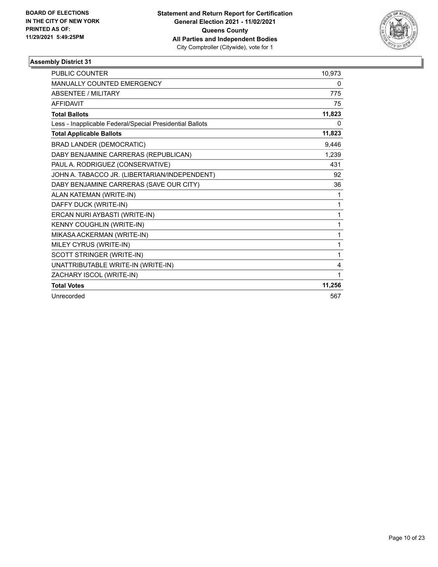

| <b>PUBLIC COUNTER</b>                                    | 10,973 |
|----------------------------------------------------------|--------|
| MANUALLY COUNTED EMERGENCY                               | 0      |
| ABSENTEE / MILITARY                                      | 775    |
| <b>AFFIDAVIT</b>                                         | 75     |
| <b>Total Ballots</b>                                     | 11,823 |
| Less - Inapplicable Federal/Special Presidential Ballots | 0      |
| <b>Total Applicable Ballots</b>                          | 11,823 |
| <b>BRAD LANDER (DEMOCRATIC)</b>                          | 9,446  |
| DABY BENJAMINE CARRERAS (REPUBLICAN)                     | 1,239  |
| PAUL A. RODRIGUEZ (CONSERVATIVE)                         | 431    |
| JOHN A. TABACCO JR. (LIBERTARIAN/INDEPENDENT)            | 92     |
| DABY BENJAMINE CARRERAS (SAVE OUR CITY)                  | 36     |
| ALAN KATEMAN (WRITE-IN)                                  | 1      |
| DAFFY DUCK (WRITE-IN)                                    | 1      |
| ERCAN NURI AYBASTI (WRITE-IN)                            | 1      |
| KENNY COUGHLIN (WRITE-IN)                                | 1      |
| MIKASA ACKERMAN (WRITE-IN)                               | 1      |
| MILEY CYRUS (WRITE-IN)                                   | 1      |
| SCOTT STRINGER (WRITE-IN)                                | 1      |
| UNATTRIBUTABLE WRITE-IN (WRITE-IN)                       | 4      |
| ZACHARY ISCOL (WRITE-IN)                                 | 1      |
| <b>Total Votes</b>                                       | 11,256 |
| Unrecorded                                               | 567    |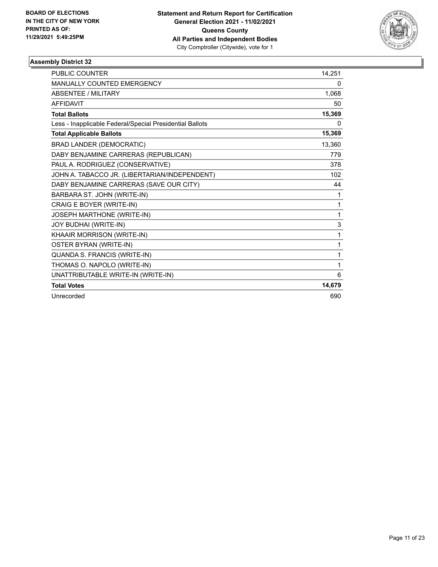

| <b>PUBLIC COUNTER</b>                                    | 14,251 |
|----------------------------------------------------------|--------|
| MANUALLY COUNTED EMERGENCY                               | 0      |
| <b>ABSENTEE / MILITARY</b>                               | 1,068  |
| <b>AFFIDAVIT</b>                                         | 50     |
| <b>Total Ballots</b>                                     | 15,369 |
| Less - Inapplicable Federal/Special Presidential Ballots | 0      |
| <b>Total Applicable Ballots</b>                          | 15,369 |
| <b>BRAD LANDER (DEMOCRATIC)</b>                          | 13,360 |
| DABY BENJAMINE CARRERAS (REPUBLICAN)                     | 779    |
| PAUL A. RODRIGUEZ (CONSERVATIVE)                         | 378    |
| JOHN A. TABACCO JR. (LIBERTARIAN/INDEPENDENT)            | 102    |
| DABY BENJAMINE CARRERAS (SAVE OUR CITY)                  | 44     |
| BARBARA ST. JOHN (WRITE-IN)                              | 1      |
| CRAIG E BOYER (WRITE-IN)                                 | 1      |
| JOSEPH MARTHONE (WRITE-IN)                               | 1      |
| JOY BUDHAI (WRITE-IN)                                    | 3      |
| KHAAIR MORRISON (WRITE-IN)                               | 1      |
| OSTER BYRAN (WRITE-IN)                                   | 1      |
| QUANDA S. FRANCIS (WRITE-IN)                             | 1      |
| THOMAS O. NAPOLO (WRITE-IN)                              | 1      |
| UNATTRIBUTABLE WRITE-IN (WRITE-IN)                       | 6      |
| <b>Total Votes</b>                                       | 14,679 |
| Unrecorded                                               | 690    |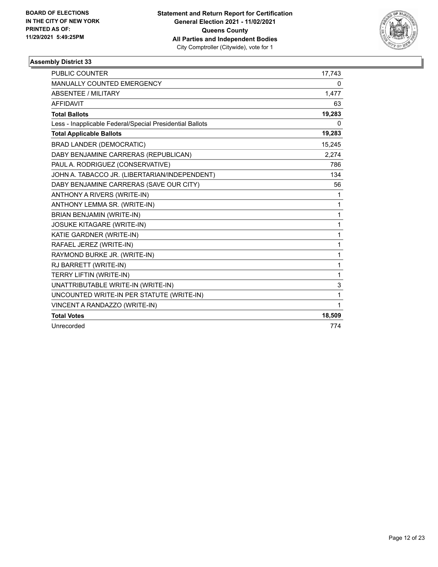

| <b>PUBLIC COUNTER</b>                                    | 17,743       |
|----------------------------------------------------------|--------------|
| MANUALLY COUNTED EMERGENCY                               | 0            |
| ABSENTEE / MILITARY                                      | 1,477        |
| <b>AFFIDAVIT</b>                                         | 63           |
| <b>Total Ballots</b>                                     | 19,283       |
| Less - Inapplicable Federal/Special Presidential Ballots | 0            |
| <b>Total Applicable Ballots</b>                          | 19,283       |
| <b>BRAD LANDER (DEMOCRATIC)</b>                          | 15,245       |
| DABY BENJAMINE CARRERAS (REPUBLICAN)                     | 2,274        |
| PAUL A. RODRIGUEZ (CONSERVATIVE)                         | 786          |
| JOHN A. TABACCO JR. (LIBERTARIAN/INDEPENDENT)            | 134          |
| DABY BENJAMINE CARRERAS (SAVE OUR CITY)                  | 56           |
| ANTHONY A RIVERS (WRITE-IN)                              | 1            |
| ANTHONY LEMMA SR. (WRITE-IN)                             | $\mathbf{1}$ |
| BRIAN BENJAMIN (WRITE-IN)                                | 1            |
| <b>JOSUKE KITAGARE (WRITE-IN)</b>                        | 1            |
| KATIE GARDNER (WRITE-IN)                                 | $\mathbf{1}$ |
| RAFAEL JEREZ (WRITE-IN)                                  | 1            |
| RAYMOND BURKE JR. (WRITE-IN)                             | $\mathbf{1}$ |
| RJ BARRETT (WRITE-IN)                                    | 1            |
| TERRY LIFTIN (WRITE-IN)                                  | $\mathbf{1}$ |
| UNATTRIBUTABLE WRITE-IN (WRITE-IN)                       | 3            |
| UNCOUNTED WRITE-IN PER STATUTE (WRITE-IN)                | 1            |
| VINCENT A RANDAZZO (WRITE-IN)                            | $\mathbf 1$  |
| <b>Total Votes</b>                                       | 18,509       |
| Unrecorded                                               | 774          |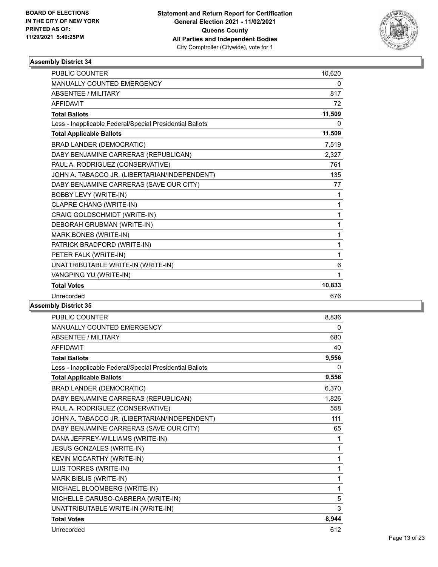

| <b>PUBLIC COUNTER</b>                                    | 10,620 |
|----------------------------------------------------------|--------|
| <b>MANUALLY COUNTED EMERGENCY</b>                        | 0      |
| ABSENTEE / MILITARY                                      | 817    |
| <b>AFFIDAVIT</b>                                         | 72     |
| <b>Total Ballots</b>                                     | 11,509 |
| Less - Inapplicable Federal/Special Presidential Ballots | 0      |
| <b>Total Applicable Ballots</b>                          | 11,509 |
| <b>BRAD LANDER (DEMOCRATIC)</b>                          | 7,519  |
| DABY BENJAMINE CARRERAS (REPUBLICAN)                     | 2,327  |
| PAUL A. RODRIGUEZ (CONSERVATIVE)                         | 761    |
| JOHN A. TABACCO JR. (LIBERTARIAN/INDEPENDENT)            | 135    |
| DABY BENJAMINE CARRERAS (SAVE OUR CITY)                  | 77     |
| <b>BOBBY LEVY (WRITE-IN)</b>                             | 1      |
| CLAPRE CHANG (WRITE-IN)                                  | 1      |
| CRAIG GOLDSCHMIDT (WRITE-IN)                             | 1      |
| DEBORAH GRUBMAN (WRITE-IN)                               | 1      |
| MARK BONES (WRITE-IN)                                    | 1      |
| PATRICK BRADFORD (WRITE-IN)                              | 1      |
| PETER FALK (WRITE-IN)                                    | 1      |
| UNATTRIBUTABLE WRITE-IN (WRITE-IN)                       | 6      |
| VANGPING YU (WRITE-IN)                                   | 1      |
| <b>Total Votes</b>                                       | 10,833 |
| Unrecorded                                               | 676    |
|                                                          |        |

| <b>PUBLIC COUNTER</b>                                    | 8,836 |
|----------------------------------------------------------|-------|
| MANUALLY COUNTED EMERGENCY                               | 0     |
| <b>ABSENTEE / MILITARY</b>                               | 680   |
| <b>AFFIDAVIT</b>                                         | 40    |
| <b>Total Ballots</b>                                     | 9,556 |
| Less - Inapplicable Federal/Special Presidential Ballots | 0     |
| <b>Total Applicable Ballots</b>                          | 9,556 |
| <b>BRAD LANDER (DEMOCRATIC)</b>                          | 6,370 |
| DABY BENJAMINE CARRERAS (REPUBLICAN)                     | 1,826 |
| PAUL A. RODRIGUEZ (CONSERVATIVE)                         | 558   |
| JOHN A. TABACCO JR. (LIBERTARIAN/INDEPENDENT)            | 111   |
| DABY BENJAMINE CARRERAS (SAVE OUR CITY)                  | 65    |
| DANA JEFFREY-WILLIAMS (WRITE-IN)                         | 1     |
| JESUS GONZALES (WRITE-IN)                                | 1     |
| KEVIN MCCARTHY (WRITE-IN)                                | 1     |
| LUIS TORRES (WRITE-IN)                                   | 1     |
| MARK BIBLIS (WRITE-IN)                                   | 1     |
| MICHAEL BLOOMBERG (WRITE-IN)                             | 1     |
| MICHELLE CARUSO-CABRERA (WRITE-IN)                       | 5     |
| UNATTRIBUTABLE WRITE-IN (WRITE-IN)                       | 3     |
| <b>Total Votes</b>                                       | 8,944 |
| Unrecorded                                               | 612   |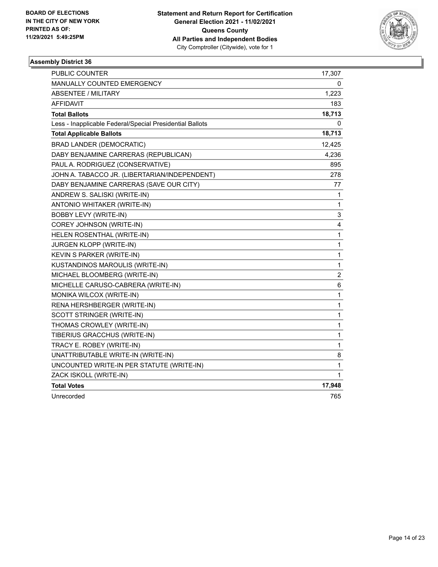

| PUBLIC COUNTER                                           | 17,307         |
|----------------------------------------------------------|----------------|
| MANUALLY COUNTED EMERGENCY                               | 0              |
| <b>ABSENTEE / MILITARY</b>                               | 1,223          |
| AFFIDAVIT                                                | 183            |
| <b>Total Ballots</b>                                     | 18,713         |
| Less - Inapplicable Federal/Special Presidential Ballots | 0              |
| <b>Total Applicable Ballots</b>                          | 18,713         |
| <b>BRAD LANDER (DEMOCRATIC)</b>                          | 12,425         |
| DABY BENJAMINE CARRERAS (REPUBLICAN)                     | 4,236          |
| PAUL A. RODRIGUEZ (CONSERVATIVE)                         | 895            |
| JOHN A. TABACCO JR. (LIBERTARIAN/INDEPENDENT)            | 278            |
| DABY BENJAMINE CARRERAS (SAVE OUR CITY)                  | 77             |
| ANDREW S. SALISKI (WRITE-IN)                             | $\mathbf{1}$   |
| ANTONIO WHITAKER (WRITE-IN)                              | $\mathbf{1}$   |
| <b>BOBBY LEVY (WRITE-IN)</b>                             | 3              |
| COREY JOHNSON (WRITE-IN)                                 | 4              |
| HELEN ROSENTHAL (WRITE-IN)                               | $\mathbf{1}$   |
| JURGEN KLOPP (WRITE-IN)                                  | $\mathbf{1}$   |
| KEVIN S PARKER (WRITE-IN)                                | $\mathbf{1}$   |
| KUSTANDINOS MAROULIS (WRITE-IN)                          | $\mathbf{1}$   |
| MICHAEL BLOOMBERG (WRITE-IN)                             | $\overline{c}$ |
| MICHELLE CARUSO-CABRERA (WRITE-IN)                       | 6              |
| MONIKA WILCOX (WRITE-IN)                                 | $\mathbf{1}$   |
| RENA HERSHBERGER (WRITE-IN)                              | $\mathbf{1}$   |
| SCOTT STRINGER (WRITE-IN)                                | 1              |
| THOMAS CROWLEY (WRITE-IN)                                | $\mathbf{1}$   |
| TIBERIUS GRACCHUS (WRITE-IN)                             | $\mathbf 1$    |
| TRACY E. ROBEY (WRITE-IN)                                | $\mathbf{1}$   |
| UNATTRIBUTABLE WRITE-IN (WRITE-IN)                       | 8              |
| UNCOUNTED WRITE-IN PER STATUTE (WRITE-IN)                | 1              |
| ZACK ISKOLL (WRITE-IN)                                   | 1              |
| <b>Total Votes</b>                                       | 17,948         |
| Unrecorded                                               | 765            |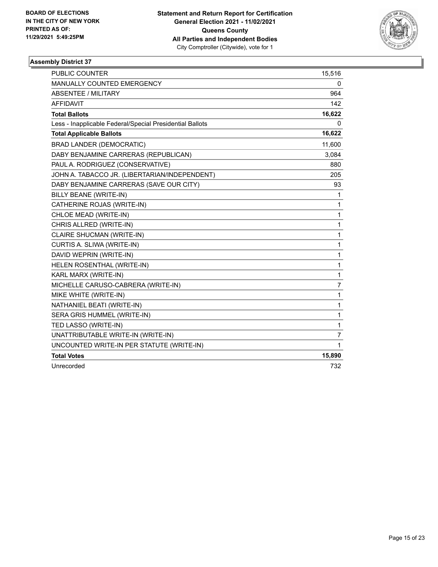

| <b>PUBLIC COUNTER</b>                                    | 15,516         |
|----------------------------------------------------------|----------------|
| <b>MANUALLY COUNTED EMERGENCY</b>                        | 0              |
| <b>ABSENTEE / MILITARY</b>                               | 964            |
| <b>AFFIDAVIT</b>                                         | 142            |
| <b>Total Ballots</b>                                     | 16,622         |
| Less - Inapplicable Federal/Special Presidential Ballots | 0              |
| <b>Total Applicable Ballots</b>                          | 16,622         |
| <b>BRAD LANDER (DEMOCRATIC)</b>                          | 11,600         |
| DABY BENJAMINE CARRERAS (REPUBLICAN)                     | 3,084          |
| PAUL A. RODRIGUEZ (CONSERVATIVE)                         | 880            |
| JOHN A. TABACCO JR. (LIBERTARIAN/INDEPENDENT)            | 205            |
| DABY BENJAMINE CARRERAS (SAVE OUR CITY)                  | 93             |
| <b>BILLY BEANE (WRITE-IN)</b>                            | 1              |
| CATHERINE ROJAS (WRITE-IN)                               | 1              |
| CHLOE MEAD (WRITE-IN)                                    | 1              |
| CHRIS ALLRED (WRITE-IN)                                  | 1              |
| CLAIRE SHUCMAN (WRITE-IN)                                | 1              |
| CURTIS A. SLIWA (WRITE-IN)                               | 1              |
| DAVID WEPRIN (WRITE-IN)                                  | 1              |
| HELEN ROSENTHAL (WRITE-IN)                               | 1              |
| KARL MARX (WRITE-IN)                                     | $\mathbf{1}$   |
| MICHELLE CARUSO-CABRERA (WRITE-IN)                       | $\overline{7}$ |
| MIKE WHITE (WRITE-IN)                                    | 1              |
| NATHANIEL BEATI (WRITE-IN)                               | 1              |
| SERA GRIS HUMMEL (WRITE-IN)                              | 1              |
| TED LASSO (WRITE-IN)                                     | 1              |
| UNATTRIBUTABLE WRITE-IN (WRITE-IN)                       | 7              |
| UNCOUNTED WRITE-IN PER STATUTE (WRITE-IN)                | $\mathbf{1}$   |
| <b>Total Votes</b>                                       | 15,890         |
| Unrecorded                                               | 732            |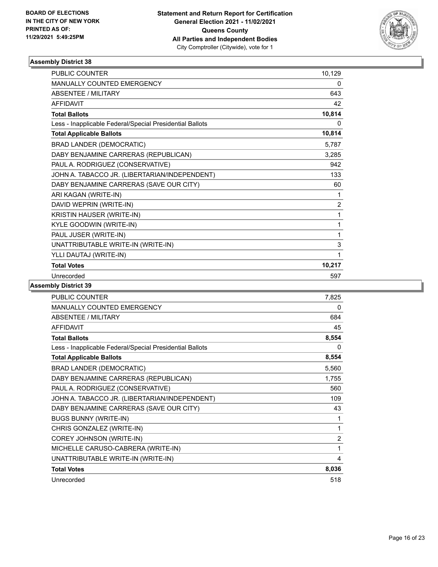

| <b>PUBLIC COUNTER</b>                                    | 10,129         |
|----------------------------------------------------------|----------------|
| MANUALLY COUNTED EMERGENCY                               | 0              |
| <b>ABSENTEE / MILITARY</b>                               | 643            |
| <b>AFFIDAVIT</b>                                         | 42             |
| <b>Total Ballots</b>                                     | 10,814         |
| Less - Inapplicable Federal/Special Presidential Ballots | 0              |
| <b>Total Applicable Ballots</b>                          | 10,814         |
| <b>BRAD LANDER (DEMOCRATIC)</b>                          | 5,787          |
| DABY BENJAMINE CARRERAS (REPUBLICAN)                     | 3,285          |
| PAUL A. RODRIGUEZ (CONSERVATIVE)                         | 942            |
| JOHN A. TABACCO JR. (LIBERTARIAN/INDEPENDENT)            | 133            |
| DABY BENJAMINE CARRERAS (SAVE OUR CITY)                  | 60             |
| ARI KAGAN (WRITE-IN)                                     | 1              |
| DAVID WEPRIN (WRITE-IN)                                  | $\overline{c}$ |
| <b>KRISTIN HAUSER (WRITE-IN)</b>                         | 1              |
| KYLE GOODWIN (WRITE-IN)                                  | 1              |
| PAUL JUSER (WRITE-IN)                                    | 1              |
| UNATTRIBUTABLE WRITE-IN (WRITE-IN)                       | 3              |
| YLLI DAUTAJ (WRITE-IN)                                   | 1              |
| <b>Total Votes</b>                                       | 10,217         |
| Unrecorded                                               | 597            |

| <b>PUBLIC COUNTER</b>                                    | 7,825          |
|----------------------------------------------------------|----------------|
| MANUALLY COUNTED EMERGENCY                               | 0              |
| <b>ABSENTEE / MILITARY</b>                               | 684            |
| <b>AFFIDAVIT</b>                                         | 45             |
| <b>Total Ballots</b>                                     | 8,554          |
| Less - Inapplicable Federal/Special Presidential Ballots | $\Omega$       |
| <b>Total Applicable Ballots</b>                          | 8,554          |
| <b>BRAD LANDER (DEMOCRATIC)</b>                          | 5,560          |
| DABY BENJAMINE CARRERAS (REPUBLICAN)                     | 1,755          |
| PAUL A. RODRIGUEZ (CONSERVATIVE)                         | 560            |
| JOHN A. TABACCO JR. (LIBERTARIAN/INDEPENDENT)            | 109            |
| DABY BENJAMINE CARRERAS (SAVE OUR CITY)                  | 43             |
| <b>BUGS BUNNY (WRITE-IN)</b>                             | 1              |
| CHRIS GONZALEZ (WRITE-IN)                                | 1              |
| COREY JOHNSON (WRITE-IN)                                 | $\overline{2}$ |
| MICHELLE CARUSO-CABRERA (WRITE-IN)                       | 1              |
| UNATTRIBUTABLE WRITE-IN (WRITE-IN)                       | 4              |
| <b>Total Votes</b>                                       | 8,036          |
| Unrecorded                                               | 518            |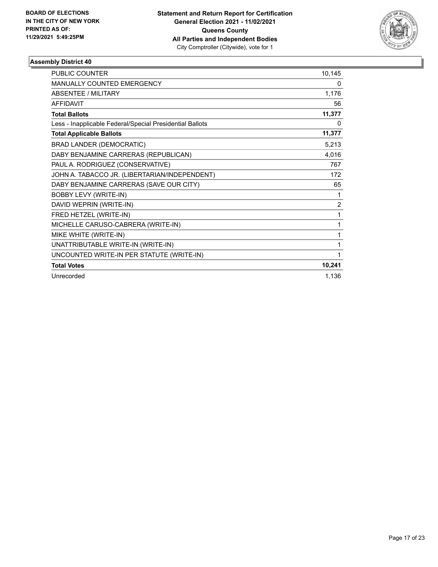

| <b>PUBLIC COUNTER</b>                                    | 10,145         |
|----------------------------------------------------------|----------------|
| MANUALLY COUNTED EMERGENCY                               | 0              |
| ABSENTEE / MILITARY                                      | 1,176          |
| <b>AFFIDAVIT</b>                                         | 56             |
| <b>Total Ballots</b>                                     | 11,377         |
| Less - Inapplicable Federal/Special Presidential Ballots | 0              |
| <b>Total Applicable Ballots</b>                          | 11,377         |
| <b>BRAD LANDER (DEMOCRATIC)</b>                          | 5,213          |
| DABY BENJAMINE CARRERAS (REPUBLICAN)                     | 4,016          |
| PAUL A. RODRIGUEZ (CONSERVATIVE)                         | 767            |
| JOHN A. TABACCO JR. (LIBERTARIAN/INDEPENDENT)            | 172            |
| DABY BENJAMINE CARRERAS (SAVE OUR CITY)                  | 65             |
| <b>BOBBY LEVY (WRITE-IN)</b>                             | 1              |
| DAVID WEPRIN (WRITE-IN)                                  | $\overline{2}$ |
| FRED HETZEL (WRITE-IN)                                   | 1              |
| MICHELLE CARUSO-CABRERA (WRITE-IN)                       | 1              |
| MIKE WHITE (WRITE-IN)                                    | 1              |
| UNATTRIBUTABLE WRITE-IN (WRITE-IN)                       | 1              |
| UNCOUNTED WRITE-IN PER STATUTE (WRITE-IN)                | 1              |
| <b>Total Votes</b>                                       | 10,241         |
| Unrecorded                                               | 1,136          |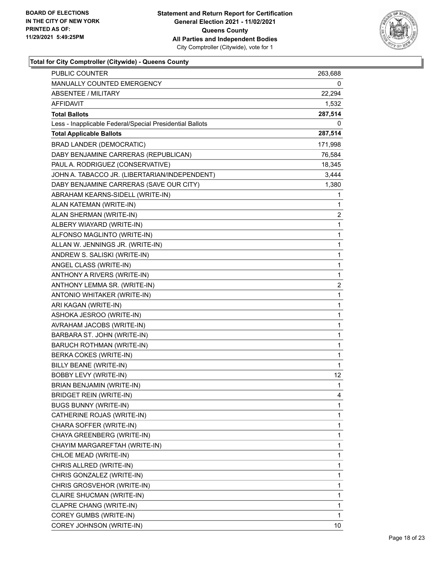

| <b>PUBLIC COUNTER</b>                                    | 263,688      |
|----------------------------------------------------------|--------------|
| MANUALLY COUNTED EMERGENCY                               | 0            |
| <b>ABSENTEE / MILITARY</b>                               | 22,294       |
| AFFIDAVIT                                                | 1,532        |
| <b>Total Ballots</b>                                     | 287,514      |
| Less - Inapplicable Federal/Special Presidential Ballots | 0            |
| <b>Total Applicable Ballots</b>                          | 287,514      |
| <b>BRAD LANDER (DEMOCRATIC)</b>                          | 171,998      |
| DABY BENJAMINE CARRERAS (REPUBLICAN)                     | 76,584       |
| PAUL A. RODRIGUEZ (CONSERVATIVE)                         | 18,345       |
| JOHN A. TABACCO JR. (LIBERTARIAN/INDEPENDENT)            | 3,444        |
| DABY BENJAMINE CARRERAS (SAVE OUR CITY)                  | 1,380        |
| ABRAHAM KEARNS-SIDELL (WRITE-IN)                         | 1            |
| ALAN KATEMAN (WRITE-IN)                                  | 1            |
| ALAN SHERMAN (WRITE-IN)                                  | 2            |
| ALBERY WIAYARD (WRITE-IN)                                | 1            |
| ALFONSO MAGLINTO (WRITE-IN)                              | 1            |
| ALLAN W. JENNINGS JR. (WRITE-IN)                         | 1            |
| ANDREW S. SALISKI (WRITE-IN)                             | 1            |
| ANGEL CLASS (WRITE-IN)                                   | $\mathbf 1$  |
| ANTHONY A RIVERS (WRITE-IN)                              | $\mathbf 1$  |
| ANTHONY LEMMA SR. (WRITE-IN)                             | 2            |
| ANTONIO WHITAKER (WRITE-IN)                              | 1            |
| ARI KAGAN (WRITE-IN)                                     | 1            |
| ASHOKA JESROO (WRITE-IN)                                 | 1            |
| AVRAHAM JACOBS (WRITE-IN)                                | $\mathbf 1$  |
| BARBARA ST. JOHN (WRITE-IN)                              | $\mathbf 1$  |
| BARUCH ROTHMAN (WRITE-IN)                                | 1            |
| BERKA COKES (WRITE-IN)                                   | 1            |
| BILLY BEANE (WRITE-IN)                                   | 1            |
| <b>BOBBY LEVY (WRITE-IN)</b>                             | 12           |
| BRIAN BENJAMIN (WRITE-IN)                                | $\mathbf{1}$ |
| BRIDGET REIN (WRITE-IN)                                  | 4            |
| <b>BUGS BUNNY (WRITE-IN)</b>                             | 1            |
| CATHERINE ROJAS (WRITE-IN)                               | 1            |
| CHARA SOFFER (WRITE-IN)                                  | 1            |
| CHAYA GREENBERG (WRITE-IN)                               | 1            |
| CHAYIM MARGAREFTAH (WRITE-IN)                            | 1            |
| CHLOE MEAD (WRITE-IN)                                    | 1            |
| CHRIS ALLRED (WRITE-IN)                                  | 1            |
| CHRIS GONZALEZ (WRITE-IN)                                | 1            |
| CHRIS GROSVEHOR (WRITE-IN)                               | 1            |
| CLAIRE SHUCMAN (WRITE-IN)                                | 1            |
| CLAPRE CHANG (WRITE-IN)                                  | 1            |
| COREY GUMBS (WRITE-IN)                                   | 1            |
| COREY JOHNSON (WRITE-IN)                                 | 10           |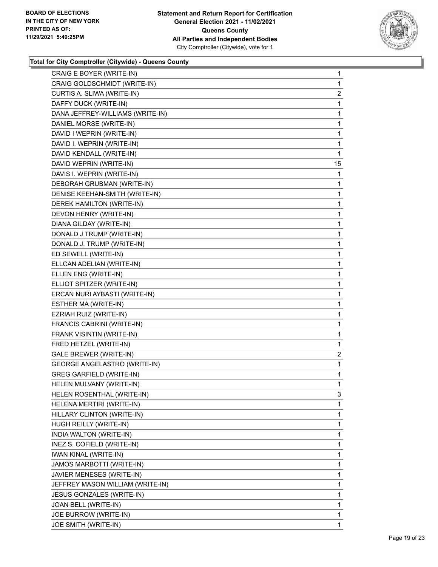

| CRAIG E BOYER (WRITE-IN)            | 1              |
|-------------------------------------|----------------|
| CRAIG GOLDSCHMIDT (WRITE-IN)        | 1              |
| CURTIS A. SLIWA (WRITE-IN)          | $\overline{2}$ |
| DAFFY DUCK (WRITE-IN)               | $\mathbf{1}$   |
| DANA JEFFREY-WILLIAMS (WRITE-IN)    | 1              |
| DANIEL MORSE (WRITE-IN)             | 1              |
| DAVID I WEPRIN (WRITE-IN)           | $\mathbf{1}$   |
| DAVID I. WEPRIN (WRITE-IN)          | 1              |
| DAVID KENDALL (WRITE-IN)            | 1              |
| DAVID WEPRIN (WRITE-IN)             | 15             |
| DAVIS I. WEPRIN (WRITE-IN)          | 1              |
| DEBORAH GRUBMAN (WRITE-IN)          | 1              |
| DENISE KEEHAN-SMITH (WRITE-IN)      | $\mathbf{1}$   |
| DEREK HAMILTON (WRITE-IN)           | 1              |
| DEVON HENRY (WRITE-IN)              | 1              |
| DIANA GILDAY (WRITE-IN)             | 1              |
| DONALD J TRUMP (WRITE-IN)           | 1              |
| DONALD J. TRUMP (WRITE-IN)          | 1              |
| ED SEWELL (WRITE-IN)                | $\mathbf{1}$   |
| ELLCAN ADELIAN (WRITE-IN)           | 1              |
| ELLEN ENG (WRITE-IN)                | 1              |
| ELLIOT SPITZER (WRITE-IN)           | 1              |
| ERCAN NURI AYBASTI (WRITE-IN)       | 1              |
| ESTHER MA (WRITE-IN)                | 1              |
| EZRIAH RUIZ (WRITE-IN)              | 1              |
| FRANCIS CABRINI (WRITE-IN)          | 1              |
| FRANK VISINTIN (WRITE-IN)           | 1              |
| FRED HETZEL (WRITE-IN)              | 1              |
| GALE BREWER (WRITE-IN)              | $\overline{2}$ |
| <b>GEORGE ANGELASTRO (WRITE-IN)</b> | 1              |
| <b>GREG GARFIELD (WRITE-IN)</b>     | 1              |
| HELEN MULVANY (WRITE-IN)            | 1              |
| HELEN ROSENTHAL (WRITE-IN)          | 3              |
| HELENA MERTIRI (WRITE-IN)           | 1              |
| HILLARY CLINTON (WRITE-IN)          | 1              |
| HUGH REILLY (WRITE-IN)              | 1              |
| INDIA WALTON (WRITE-IN)             | 1              |
| INEZ S. COFIELD (WRITE-IN)          | 1              |
| <b>IWAN KINAL (WRITE-IN)</b>        | 1              |
| JAMOS MARBOTTI (WRITE-IN)           | 1              |
| JAVIER MENESES (WRITE-IN)           | 1              |
| JEFFREY MASON WILLIAM (WRITE-IN)    | 1              |
| JESUS GONZALES (WRITE-IN)           | 1              |
| JOAN BELL (WRITE-IN)                | 1              |
| JOE BURROW (WRITE-IN)               | 1              |
| JOE SMITH (WRITE-IN)                | 1              |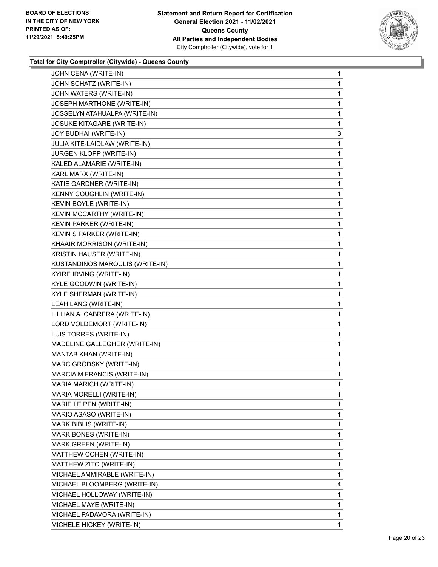

| JOHN CENA (WRITE-IN)              | 1 |
|-----------------------------------|---|
| JOHN SCHATZ (WRITE-IN)            | 1 |
| JOHN WATERS (WRITE-IN)            | 1 |
| JOSEPH MARTHONE (WRITE-IN)        | 1 |
| JOSSELYN ATAHUALPA (WRITE-IN)     | 1 |
| <b>JOSUKE KITAGARE (WRITE-IN)</b> | 1 |
| JOY BUDHAI (WRITE-IN)             | 3 |
| JULIA KITE-LAIDLAW (WRITE-IN)     | 1 |
| JURGEN KLOPP (WRITE-IN)           | 1 |
| KALED ALAMARIE (WRITE-IN)         | 1 |
| KARL MARX (WRITE-IN)              | 1 |
| KATIE GARDNER (WRITE-IN)          | 1 |
| KENNY COUGHLIN (WRITE-IN)         | 1 |
| KEVIN BOYLE (WRITE-IN)            | 1 |
| KEVIN MCCARTHY (WRITE-IN)         | 1 |
| KEVIN PARKER (WRITE-IN)           | 1 |
| KEVIN S PARKER (WRITE-IN)         | 1 |
| KHAAIR MORRISON (WRITE-IN)        | 1 |
| KRISTIN HAUSER (WRITE-IN)         | 1 |
| KUSTANDINOS MAROULIS (WRITE-IN)   | 1 |
| KYIRE IRVING (WRITE-IN)           | 1 |
| KYLE GOODWIN (WRITE-IN)           | 1 |
| KYLE SHERMAN (WRITE-IN)           | 1 |
| LEAH LANG (WRITE-IN)              | 1 |
| LILLIAN A. CABRERA (WRITE-IN)     | 1 |
| LORD VOLDEMORT (WRITE-IN)         | 1 |
| LUIS TORRES (WRITE-IN)            | 1 |
| MADELINE GALLEGHER (WRITE-IN)     | 1 |
| MANTAB KHAN (WRITE-IN)            | 1 |
| MARC GRODSKY (WRITE-IN)           | 1 |
| MARCIA M FRANCIS (WRITE-IN)       | 1 |
| MARIA MARICH (WRITE-IN)           | 1 |
| MARIA MORELLI (WRITE-IN)          | 1 |
| MARIE LE PEN (WRITE-IN)           | 1 |
| MARIO ASASO (WRITE-IN)            | 1 |
| MARK BIBLIS (WRITE-IN)            | 1 |
| MARK BONES (WRITE-IN)             | 1 |
| MARK GREEN (WRITE-IN)             | 1 |
| MATTHEW COHEN (WRITE-IN)          | 1 |
| MATTHEW ZITO (WRITE-IN)           | 1 |
| MICHAEL AMMIRABLE (WRITE-IN)      | 1 |
| MICHAEL BLOOMBERG (WRITE-IN)      | 4 |
| MICHAEL HOLLOWAY (WRITE-IN)       | 1 |
| MICHAEL MAYE (WRITE-IN)           | 1 |
| MICHAEL PADAVORA (WRITE-IN)       | 1 |
| MICHELE HICKEY (WRITE-IN)         | 1 |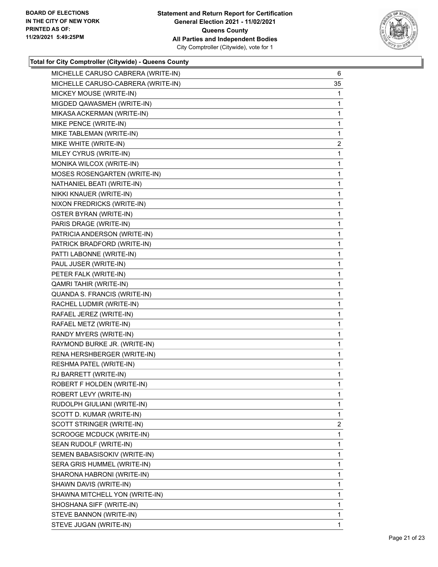

| MICHELLE CARUSO CABRERA (WRITE-IN) | 6              |
|------------------------------------|----------------|
| MICHELLE CARUSO-CABRERA (WRITE-IN) | 35             |
| MICKEY MOUSE (WRITE-IN)            | 1              |
| MIGDED QAWASMEH (WRITE-IN)         | 1              |
| MIKASA ACKERMAN (WRITE-IN)         | 1              |
| MIKE PENCE (WRITE-IN)              | 1              |
| MIKE TABLEMAN (WRITE-IN)           | 1              |
| MIKE WHITE (WRITE-IN)              | $\overline{2}$ |
| MILEY CYRUS (WRITE-IN)             | 1              |
| MONIKA WILCOX (WRITE-IN)           | 1              |
| MOSES ROSENGARTEN (WRITE-IN)       | 1              |
| NATHANIEL BEATI (WRITE-IN)         | 1              |
| NIKKI KNAUER (WRITE-IN)            | 1              |
| NIXON FREDRICKS (WRITE-IN)         | 1              |
| OSTER BYRAN (WRITE-IN)             | 1              |
| PARIS DRAGE (WRITE-IN)             | 1              |
| PATRICIA ANDERSON (WRITE-IN)       | 1              |
| PATRICK BRADFORD (WRITE-IN)        | 1              |
| PATTI LABONNE (WRITE-IN)           | 1              |
| PAUL JUSER (WRITE-IN)              | 1              |
| PETER FALK (WRITE-IN)              | 1              |
| QAMRI TAHIR (WRITE-IN)             | 1              |
| QUANDA S. FRANCIS (WRITE-IN)       | 1              |
| RACHEL LUDMIR (WRITE-IN)           | 1              |
| RAFAEL JEREZ (WRITE-IN)            | 1              |
| RAFAEL METZ (WRITE-IN)             | 1              |
| RANDY MYERS (WRITE-IN)             | 1              |
| RAYMOND BURKE JR. (WRITE-IN)       | 1              |
| RENA HERSHBERGER (WRITE-IN)        | 1              |
| RESHMA PATEL (WRITE-IN)            | 1              |
| RJ BARRETT (WRITE-IN)              | 1              |
| ROBERT F HOLDEN (WRITE-IN)         | 1              |
| ROBERT LEVY (WRITE-IN)             | 1              |
| RUDOLPH GIULIANI (WRITE-IN)        | 1              |
| SCOTT D. KUMAR (WRITE-IN)          | 1              |
| SCOTT STRINGER (WRITE-IN)          | $\overline{2}$ |
| SCROOGE MCDUCK (WRITE-IN)          | 1              |
| SEAN RUDOLF (WRITE-IN)             | 1              |
| SEMEN BABASISOKIV (WRITE-IN)       | 1              |
| SERA GRIS HUMMEL (WRITE-IN)        | 1              |
| SHARONA HABRONI (WRITE-IN)         | 1              |
| SHAWN DAVIS (WRITE-IN)             | 1              |
| SHAWNA MITCHELL YON (WRITE-IN)     | 1              |
| SHOSHANA SIFF (WRITE-IN)           | 1              |
| STEVE BANNON (WRITE-IN)            | 1              |
| STEVE JUGAN (WRITE-IN)             | 1              |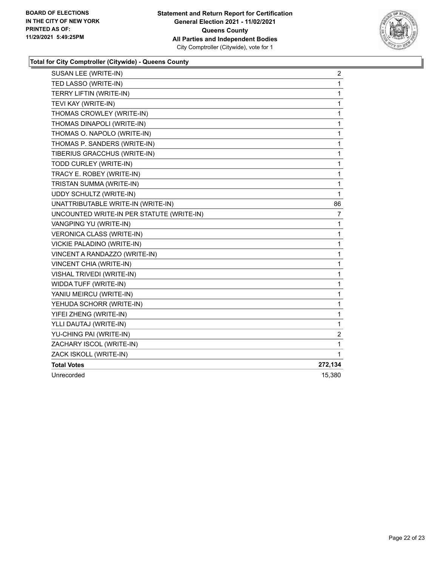

| SUSAN LEE (WRITE-IN)                      | $\overline{2}$          |
|-------------------------------------------|-------------------------|
| TED LASSO (WRITE-IN)                      | 1                       |
| TERRY LIFTIN (WRITE-IN)                   | 1                       |
| TEVI KAY (WRITE-IN)                       | 1                       |
| THOMAS CROWLEY (WRITE-IN)                 | 1                       |
| THOMAS DINAPOLI (WRITE-IN)                | 1                       |
| THOMAS O. NAPOLO (WRITE-IN)               | 1                       |
| THOMAS P. SANDERS (WRITE-IN)              | 1                       |
| TIBERIUS GRACCHUS (WRITE-IN)              | 1                       |
| TODD CURLEY (WRITE-IN)                    | 1                       |
| TRACY E. ROBEY (WRITE-IN)                 | 1                       |
| TRISTAN SUMMA (WRITE-IN)                  | 1                       |
| <b>UDDY SCHULTZ (WRITE-IN)</b>            | 1                       |
| UNATTRIBUTABLE WRITE-IN (WRITE-IN)        | 86                      |
| UNCOUNTED WRITE-IN PER STATUTE (WRITE-IN) | 7                       |
| VANGPING YU (WRITE-IN)                    | 1                       |
| <b>VERONICA CLASS (WRITE-IN)</b>          | 1                       |
| VICKIE PALADINO (WRITE-IN)                | 1                       |
| VINCENT A RANDAZZO (WRITE-IN)             | 1                       |
| VINCENT CHIA (WRITE-IN)                   | 1                       |
| VISHAL TRIVEDI (WRITE-IN)                 | 1                       |
| WIDDA TUFF (WRITE-IN)                     | 1                       |
| YANIU MEIRCU (WRITE-IN)                   | 1                       |
| YEHUDA SCHORR (WRITE-IN)                  | 1                       |
| YIFEI ZHENG (WRITE-IN)                    | 1                       |
| YLLI DAUTAJ (WRITE-IN)                    | 1                       |
| YU-CHING PAI (WRITE-IN)                   | $\overline{\mathbf{c}}$ |
| ZACHARY ISCOL (WRITE-IN)                  | 1                       |
| ZACK ISKOLL (WRITE-IN)                    | 1                       |
| <b>Total Votes</b>                        | 272,134                 |
| Unrecorded                                | 15,380                  |